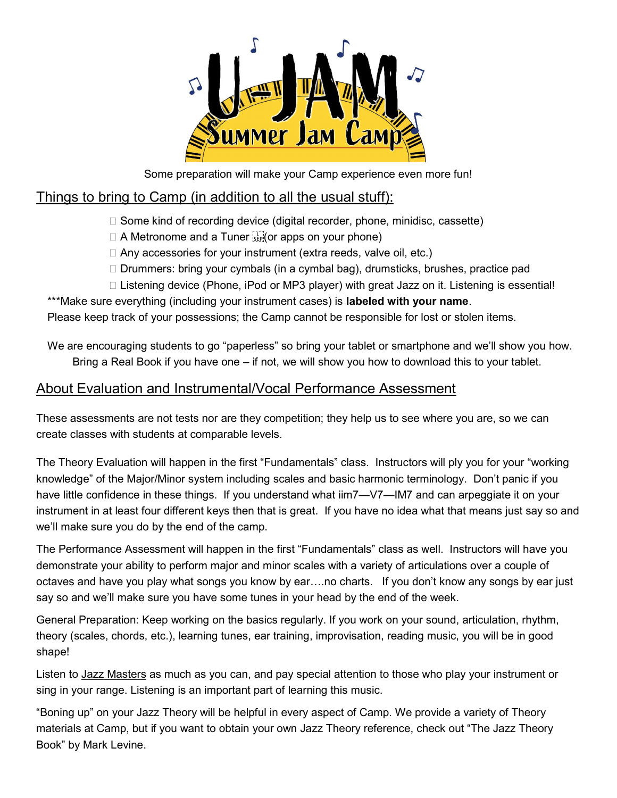

Some preparation will make your Camp experience even more fun!

# Things to bring to Camp (in addition to all the usual stuff):

- $\Box$  Some kind of recording device (digital recorder, phone, minidisc, cassette)
- $\Box$  A Metronome and a Tuner  $\frac{1}{100}$  or apps on your phone)
- □ Any accessories for your instrument (extra reeds, valve oil, etc.)
- □ Drummers: bring your cymbals (in a cymbal bag), drumsticks, brushes, practice pad

 $\Box$  Listening device (Phone, iPod or MP3 player) with great Jazz on it. Listening is essential!

\*\*\*Make sure everything (including your instrument cases) is labeled with your name. Please keep track of your possessions; the Camp cannot be responsible for lost or stolen items.

 We are encouraging students to go "paperless" so bring your tablet or smartphone and we'll show you how. Bring a Real Book if you have one – if not, we will show you how to download this to your tablet.

### About Evaluation and Instrumental/Vocal Performance Assessment

These assessments are not tests nor are they competition; they help us to see where you are, so we can create classes with students at comparable levels.

The Theory Evaluation will happen in the first "Fundamentals" class. Instructors will ply you for your "working knowledge" of the Major/Minor system including scales and basic harmonic terminology. Don't panic if you have little confidence in these things. If you understand what iim7—V7—IM7 and can arpeggiate it on your instrument in at least four different keys then that is great. If you have no idea what that means just say so and we'll make sure you do by the end of the camp.

The Performance Assessment will happen in the first "Fundamentals" class as well. Instructors will have you demonstrate your ability to perform major and minor scales with a variety of articulations over a couple of octaves and have you play what songs you know by ear….no charts. If you don't know any songs by ear just say so and we'll make sure you have some tunes in your head by the end of the week.

General Preparation: Keep working on the basics regularly. If you work on your sound, articulation, rhythm, theory (scales, chords, etc.), learning tunes, ear training, improvisation, reading music, you will be in good shape!

Listen to Jazz Masters as much as you can, and pay special attention to those who play your instrument or sing in your range. Listening is an important part of learning this music.

"Boning up" on your Jazz Theory will be helpful in every aspect of Camp. We provide a variety of Theory materials at Camp, but if you want to obtain your own Jazz Theory reference, check out "The Jazz Theory Book" by Mark Levine.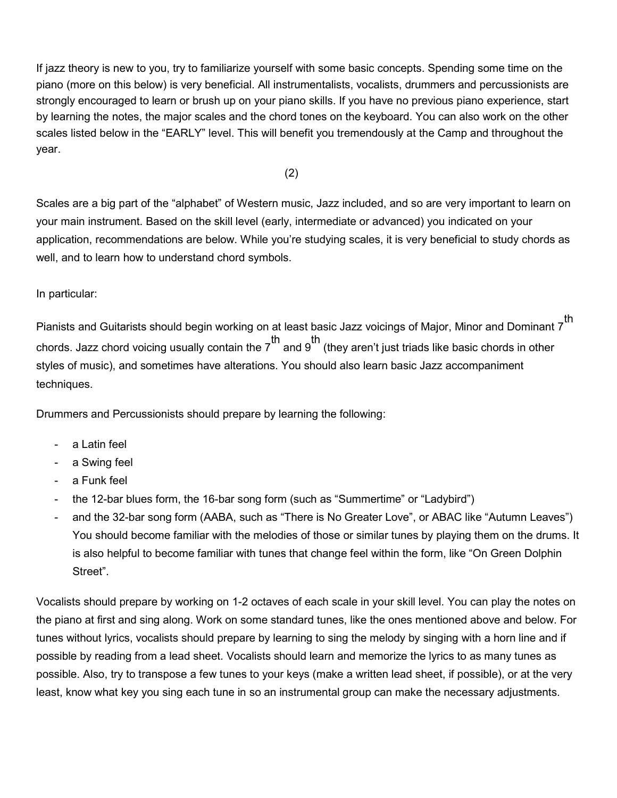If jazz theory is new to you, try to familiarize yourself with some basic concepts. Spending some time on the piano (more on this below) is very beneficial. All instrumentalists, vocalists, drummers and percussionists are strongly encouraged to learn or brush up on your piano skills. If you have no previous piano experience, start by learning the notes, the major scales and the chord tones on the keyboard. You can also work on the other scales listed below in the "EARLY" level. This will benefit you tremendously at the Camp and throughout the year.

 $(2)$ 

Scales are a big part of the "alphabet" of Western music, Jazz included, and so are very important to learn on your main instrument. Based on the skill level (early, intermediate or advanced) you indicated on your application, recommendations are below. While you're studying scales, it is very beneficial to study chords as well, and to learn how to understand chord symbols.

#### In particular:

Pianists and Guitarists should begin working on at least basic Jazz voicings of Major, Minor and Dominant 7th chords. Jazz chord voicing usually contain the 7  $^{\rm th}$  and 9  $^{\rm th}$  (they aren't just triads like basic chords in other styles of music), and sometimes have alterations. You should also learn basic Jazz accompaniment techniques.

Drummers and Percussionists should prepare by learning the following:

- a Latin feel
- a Swing feel
- a Funk feel
- the 12-bar blues form, the 16-bar song form (such as "Summertime" or "Ladybird")
- and the 32-bar song form (AABA, such as "There is No Greater Love", or ABAC like "Autumn Leaves") You should become familiar with the melodies of those or similar tunes by playing them on the drums. It is also helpful to become familiar with tunes that change feel within the form, like "On Green Dolphin Street".

Vocalists should prepare by working on 1-2 octaves of each scale in your skill level. You can play the notes on the piano at first and sing along. Work on some standard tunes, like the ones mentioned above and below. For tunes without lyrics, vocalists should prepare by learning to sing the melody by singing with a horn line and if possible by reading from a lead sheet. Vocalists should learn and memorize the lyrics to as many tunes as possible. Also, try to transpose a few tunes to your keys (make a written lead sheet, if possible), or at the very least, know what key you sing each tune in so an instrumental group can make the necessary adjustments.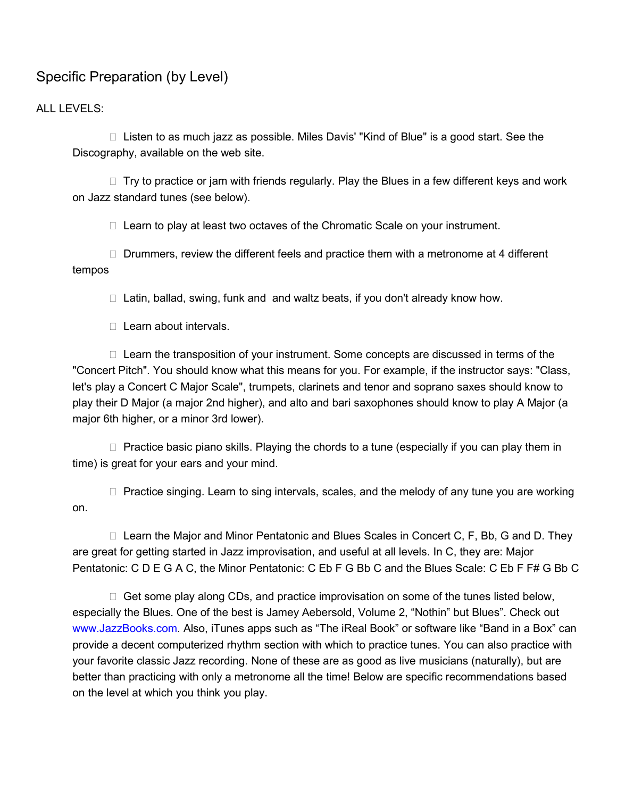## Specific Preparation (by Level)

ALL LEVELS:

 $\Box$  Listen to as much jazz as possible. Miles Davis' "Kind of Blue" is a good start. See the Discography, available on the web site.

 $\Box$  Try to practice or jam with friends regularly. Play the Blues in a few different keys and work on Jazz standard tunes (see below).

 $\Box$  Learn to play at least two octaves of the Chromatic Scale on your instrument.

 $\Box$  Drummers, review the different feels and practice them with a metronome at 4 different tempos

 $\Box$  Latin, ballad, swing, funk and and waltz beats, if you don't already know how.

 $\Box$  Learn about intervals.

 $\Box$  Learn the transposition of your instrument. Some concepts are discussed in terms of the "Concert Pitch". You should know what this means for you. For example, if the instructor says: "Class, let's play a Concert C Major Scale", trumpets, clarinets and tenor and soprano saxes should know to play their D Major (a major 2nd higher), and alto and bari saxophones should know to play A Major (a major 6th higher, or a minor 3rd lower).

 $\Box$  Practice basic piano skills. Playing the chords to a tune (especially if you can play them in time) is great for your ears and your mind.

 $\Box$  Practice singing. Learn to sing intervals, scales, and the melody of any tune you are working on.

 $\Box$  Learn the Major and Minor Pentatonic and Blues Scales in Concert C, F, Bb, G and D. They are great for getting started in Jazz improvisation, and useful at all levels. In C, they are: Major Pentatonic: C D E G A C, the Minor Pentatonic: C Eb F G Bb C and the Blues Scale: C Eb F F# G Bb C

 $\Box$  Get some play along CDs, and practice improvisation on some of the tunes listed below, especially the Blues. One of the best is Jamey Aebersold, Volume 2, "Nothin" but Blues". Check out www.JazzBooks.com. Also, iTunes apps such as "The iReal Book" or software like "Band in a Box" can provide a decent computerized rhythm section with which to practice tunes. You can also practice with your favorite classic Jazz recording. None of these are as good as live musicians (naturally), but are better than practicing with only a metronome all the time! Below are specific recommendations based on the level at which you think you play.